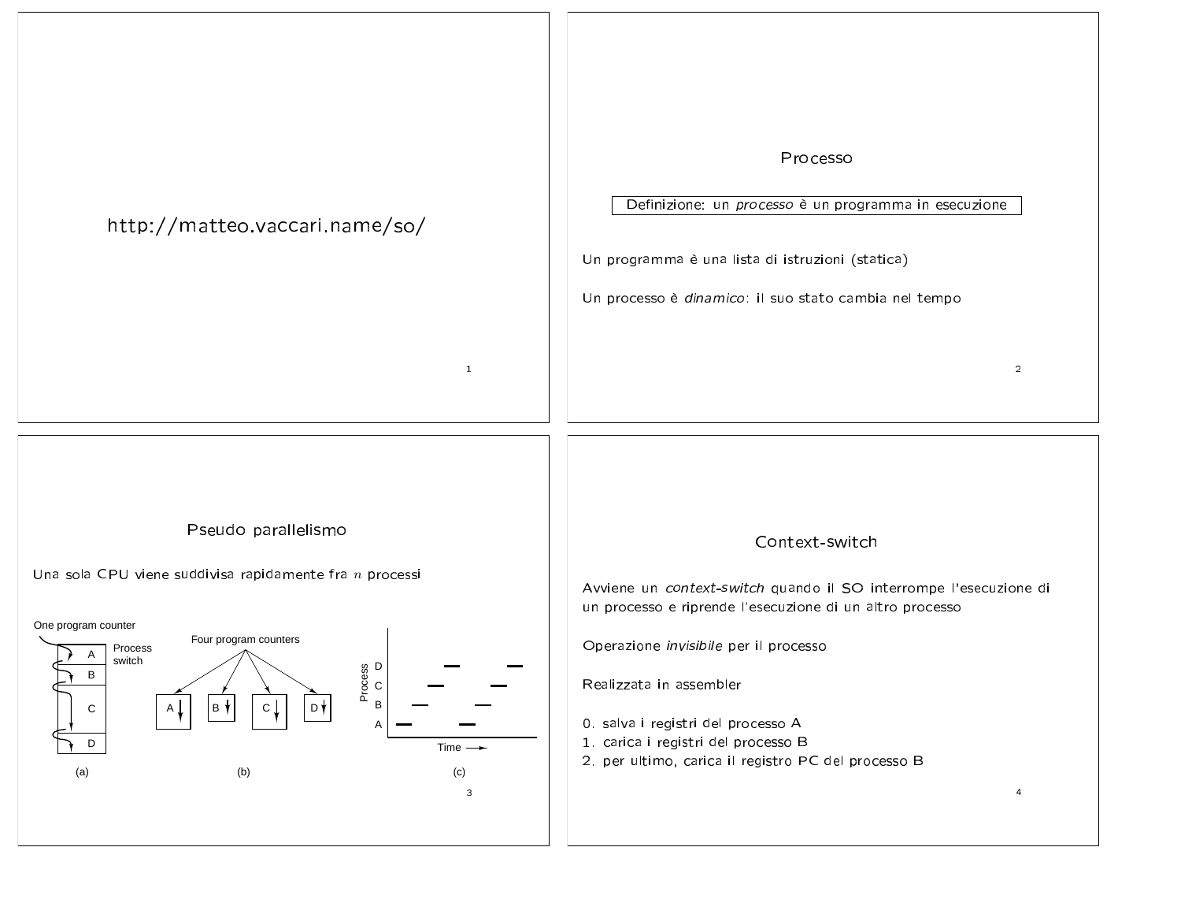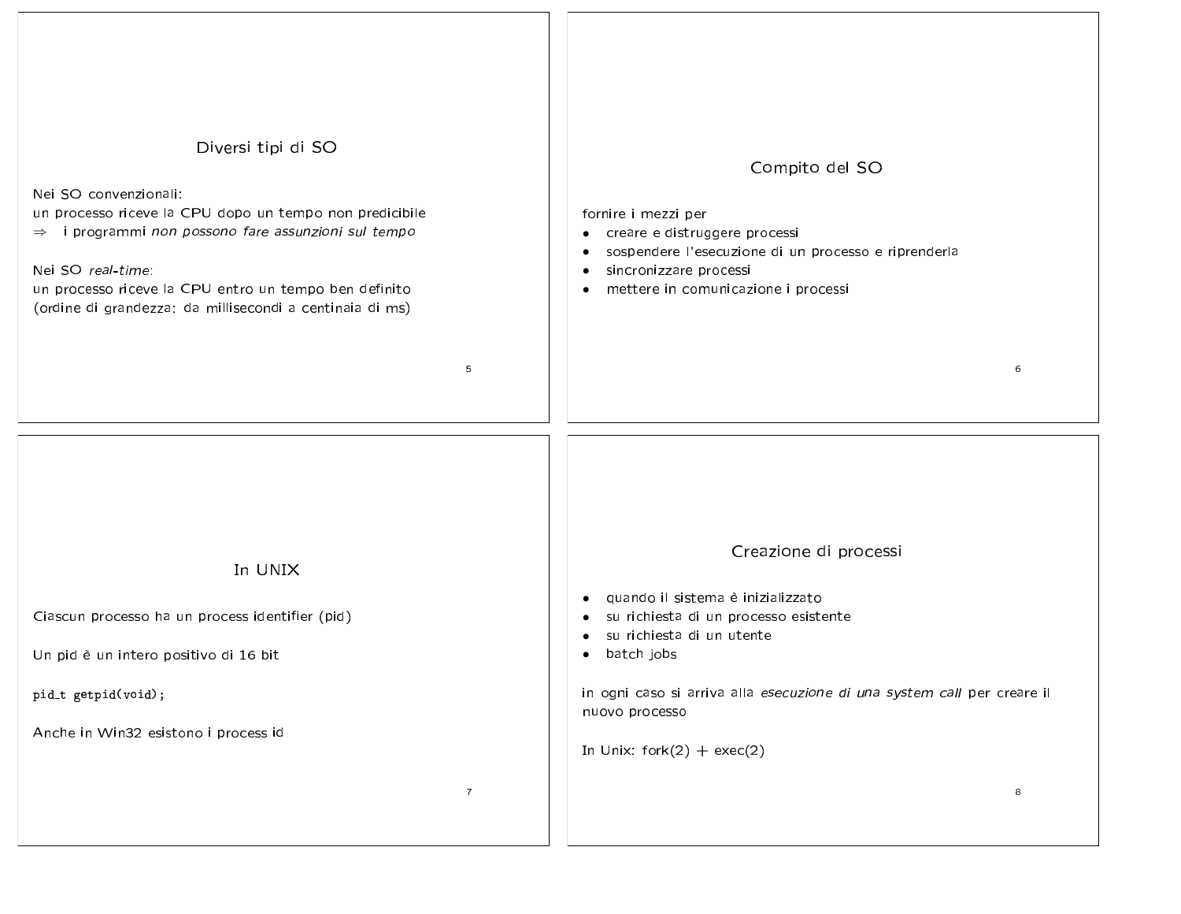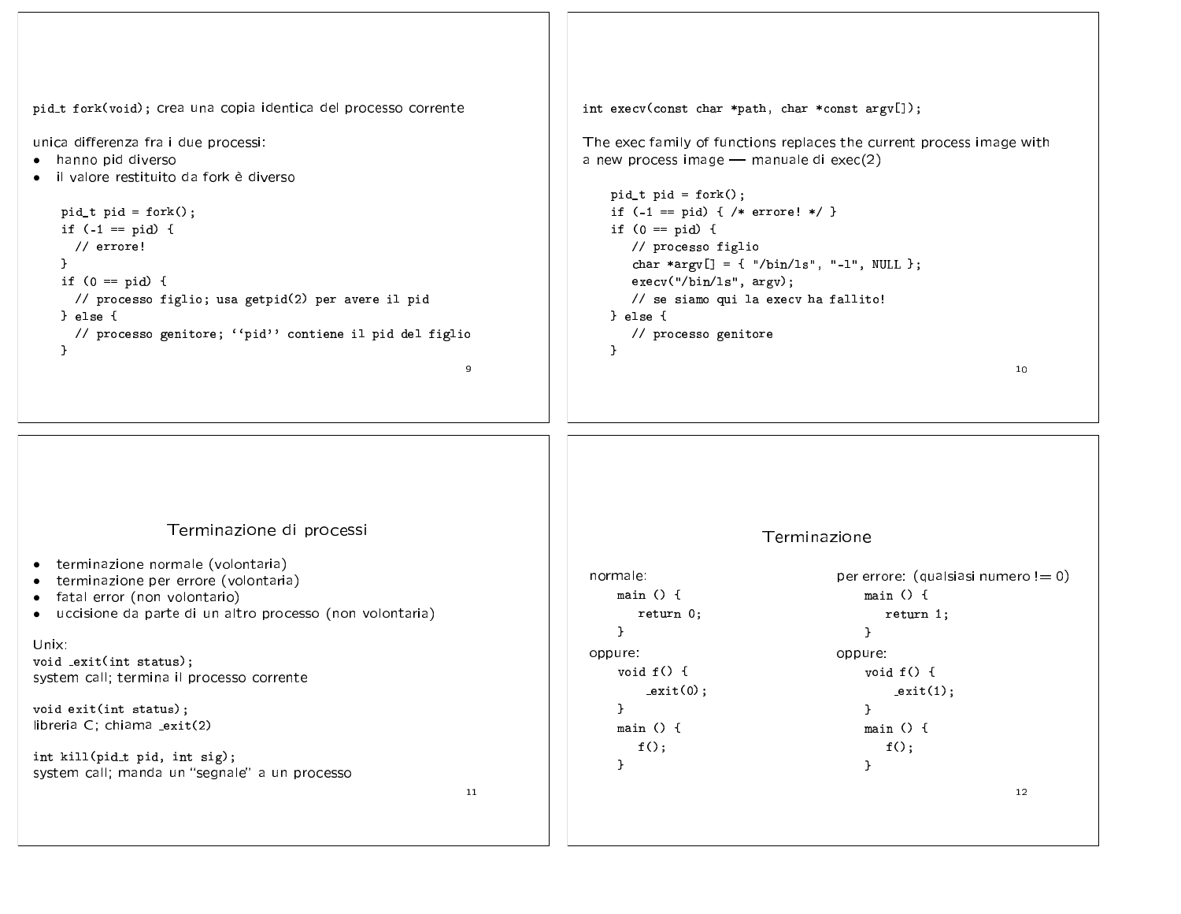pid\_t fork(void); crea una copia identica del processo corrente int execv(const char \*path, char \*const  $argv[]$ ); unica differenza fra i due processi: The exec family of functions replaces the current process image with • hanno pid diverso a new process image - manuale di exec(2) · il valore restituito da fork è diverso  $pid_t$  pid = fork();  $pid_t$  pid = fork(); if  $(-1 == pid) { /* error! * }$ if  $(-1 == pid)$  { if  $(0 == pid)$  {  $\frac{1}{2}$  errore! // processo figlio char \*argv[] = { "/bin/1s", "-1", NULL };  $\mathbf{r}$ if  $(0 == pid) { }$  $execv("/bin/ls", argv);$ // processo figlio; usa getpid(2) per avere il pid // se siamo qui la execv ha fallito! } else { } else { // processo genitore // processo genitore; "pid" contiene il pid del figlio  $\mathbf{r}$  $\mathbf{r}$  $\alpha$  $10<sup>°</sup>$ Terminazione di processi Terminazione • terminazione normale (volontaria) per errore: (qualsiasi numero  $!= 0$ ) normale: • terminazione per errore (volontaria) main  $() \{$ main  $() \{$ · fatal error (non volontario) • uccisione da parte di un altro processo (non volontaria) return 0; return 1;  $\mathcal{F}$  $\mathcal{F}$ Unix: oppure: oppure: void exit(int status); void  $f() \{$ void  $f() \{$ system call; termina il processo corrente  $ext(0)$ :  $ext(1)$ ; void exit(int status);  $\mathcal{F}$  $\mathbf{L}$ libreria C; chiama \_exit(2) main  $() \{$ main  $() f$  $f()$ ;  $f()$ ; int kill(pid\_t pid, int sig);  $\mathcal{F}$  $\mathcal{F}$ system call; manda un "segnale" a un processo 11  $12 \overline{ }$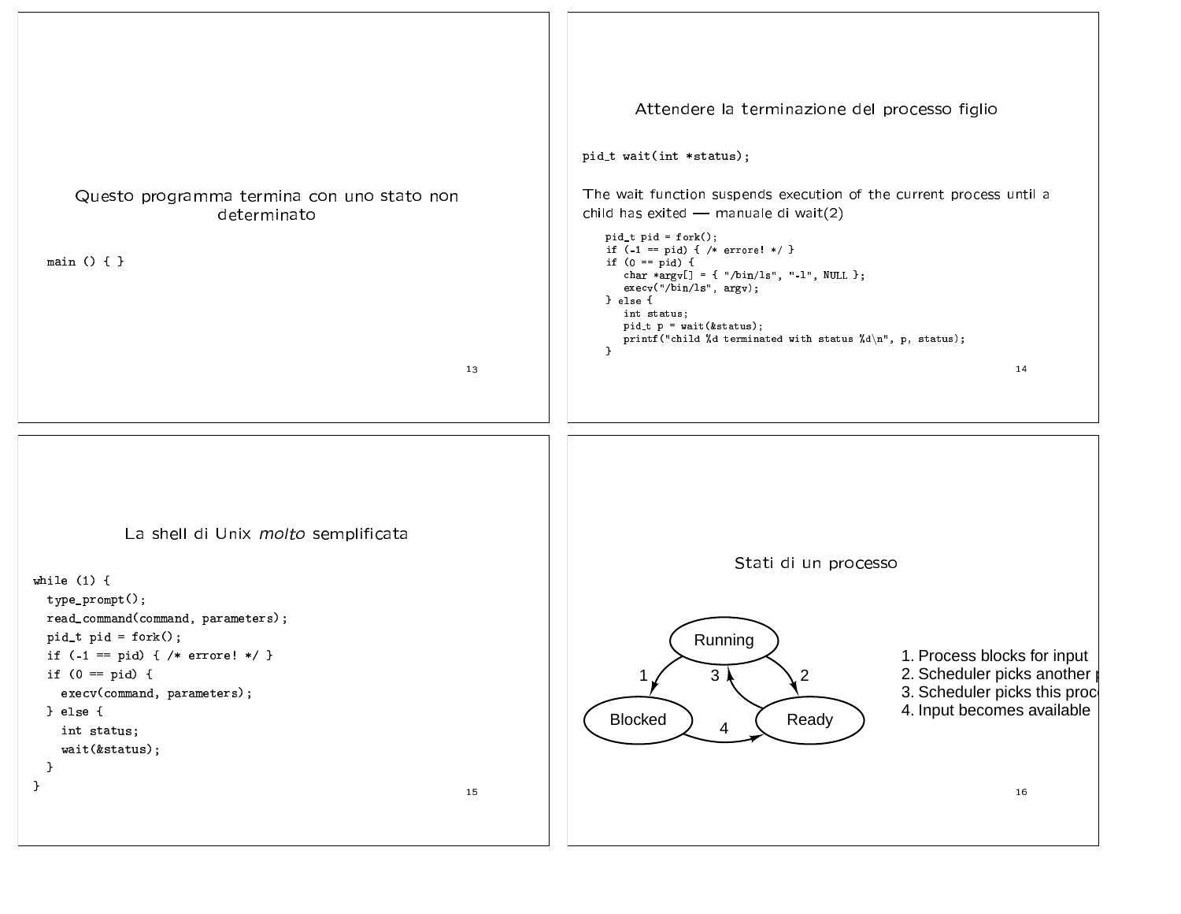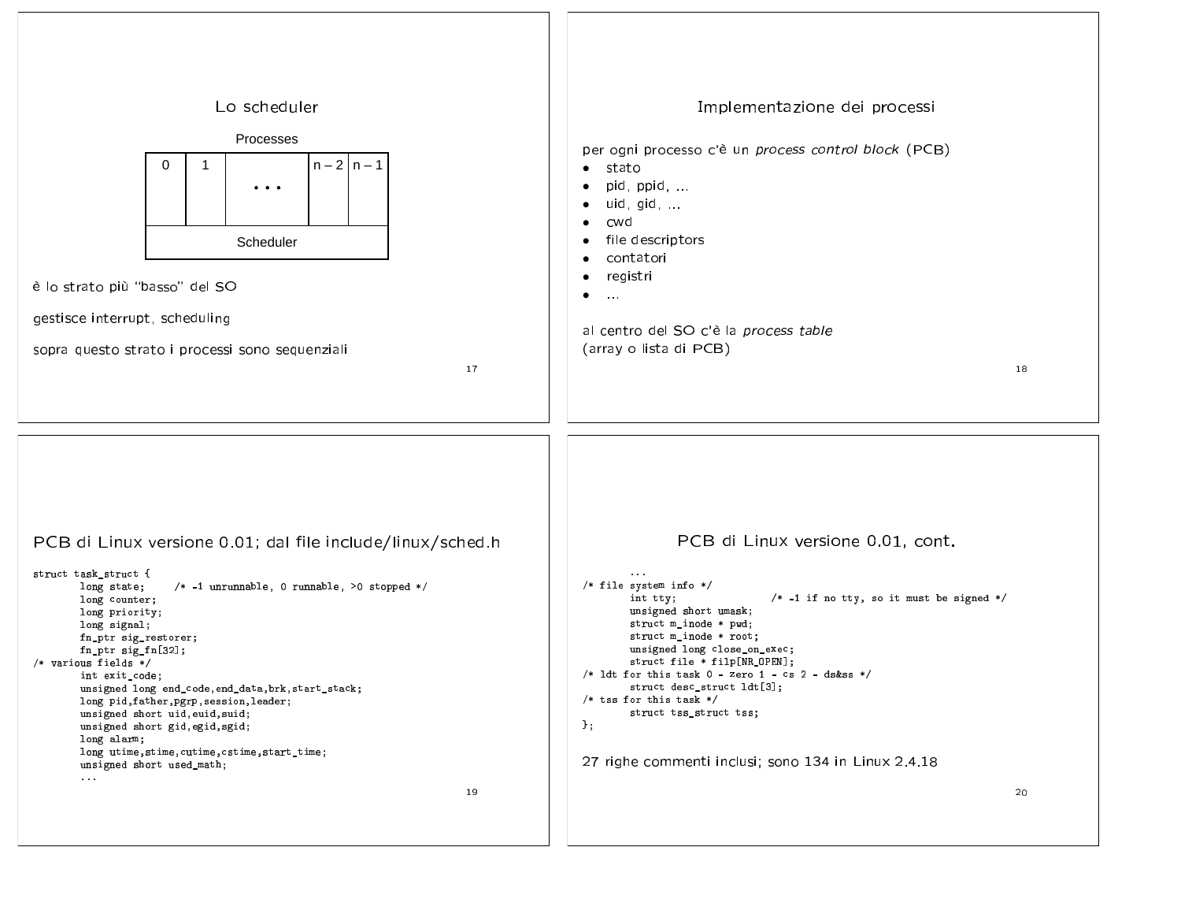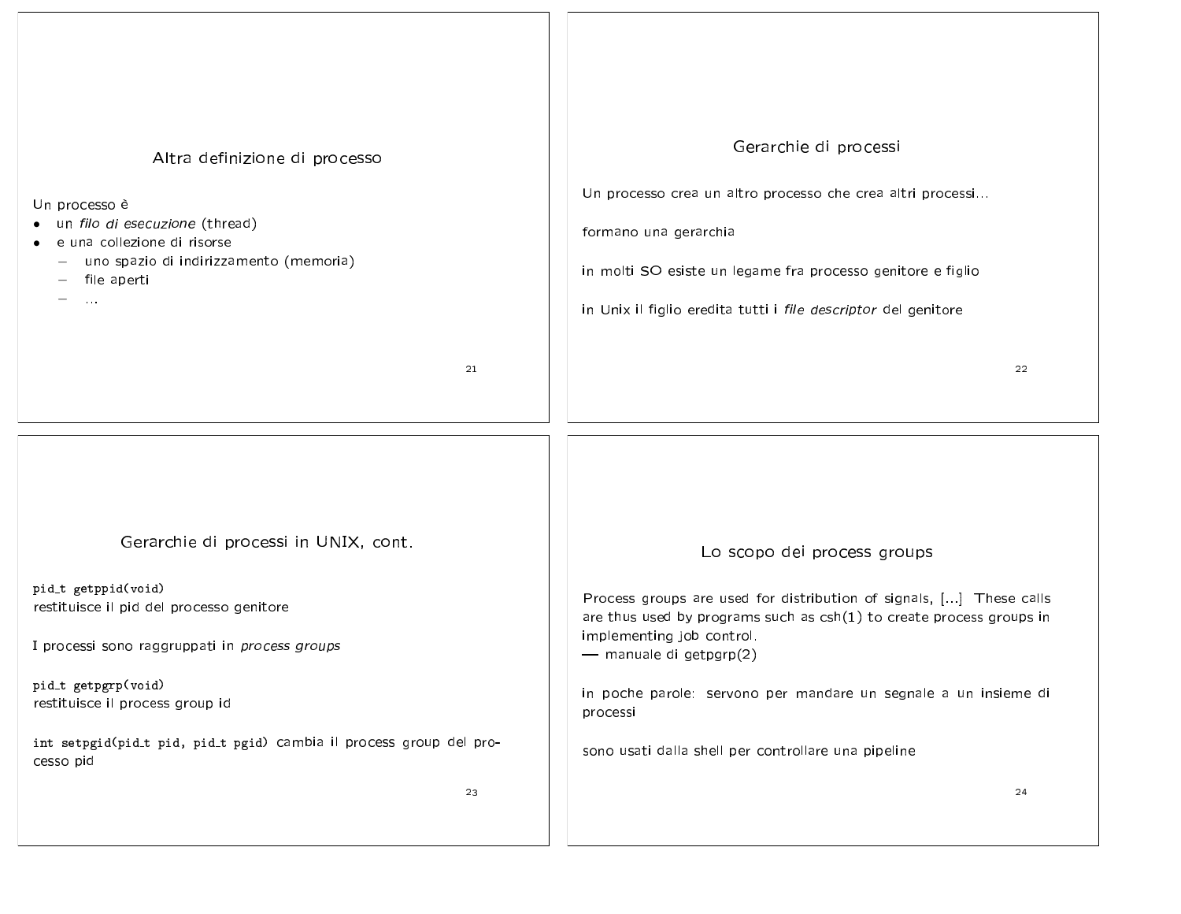| Altra definizione di processo<br>Un processo è<br>un filo di esecuzione (thread)<br>e una collezione di risorse<br>- uno spazio di indirizzamento (memoria)<br>$-$ file aperti<br>$\sim$ $\sim$ $\sim$ | Gerarchie di processi<br>Un processo crea un altro processo che crea altri processi<br>formano una gerarchia<br>in molti SO esiste un legame fra processo genitore e figlio<br>in Unix il figlio eredita tutti i file descriptor del genitore |
|--------------------------------------------------------------------------------------------------------------------------------------------------------------------------------------------------------|-----------------------------------------------------------------------------------------------------------------------------------------------------------------------------------------------------------------------------------------------|
| 21                                                                                                                                                                                                     | 22                                                                                                                                                                                                                                            |
|                                                                                                                                                                                                        |                                                                                                                                                                                                                                               |
| Gerarchie di processi in UNIX, cont.                                                                                                                                                                   | Lo scopo dei process groups                                                                                                                                                                                                                   |
| pid_t getppid(void)<br>restituisce il pid del processo genitore<br>I processi sono raggruppati in process groups                                                                                       | Process groups are used for distribution of signals, [] These calls<br>are thus used by programs such as $csh(1)$ to create process groups in<br>implementing job control.<br>- manuale di getpgrp(2)                                         |
| pid_t getpgrp(void)<br>restituisce il process group id                                                                                                                                                 | in poche parole: servono per mandare un segnale a un insieme di<br>processi                                                                                                                                                                   |
| int setpgid(pid_t pid, pid_t pgid) cambia il process group del pro-<br>cesso pid                                                                                                                       | sono usati dalla shell per controllare una pipeline                                                                                                                                                                                           |
| 23                                                                                                                                                                                                     | 24                                                                                                                                                                                                                                            |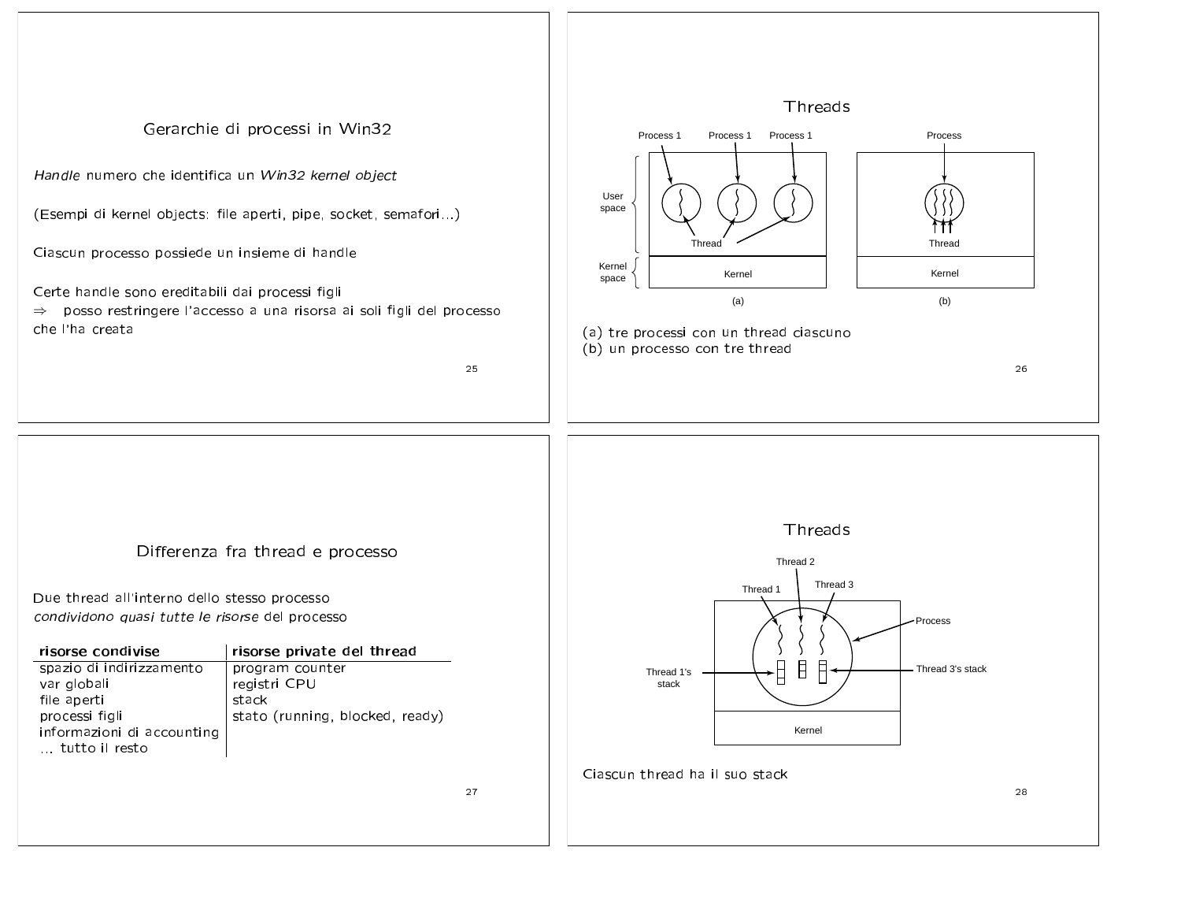

27

Due thread all'interno dello stesso processo condividono quasi tutte le risorse del processo

| risorse condivise          | risorse private del thread      |
|----------------------------|---------------------------------|
| spazio di indirizzamento   | program counter                 |
| var globali                | registri CPU                    |
| file aperti                | stack                           |
| processi figli             | stato (running, blocked, ready) |
| informazioni di accounting |                                 |
| tutto il resto             |                                 |



Ciascun thread ha il suo stack

28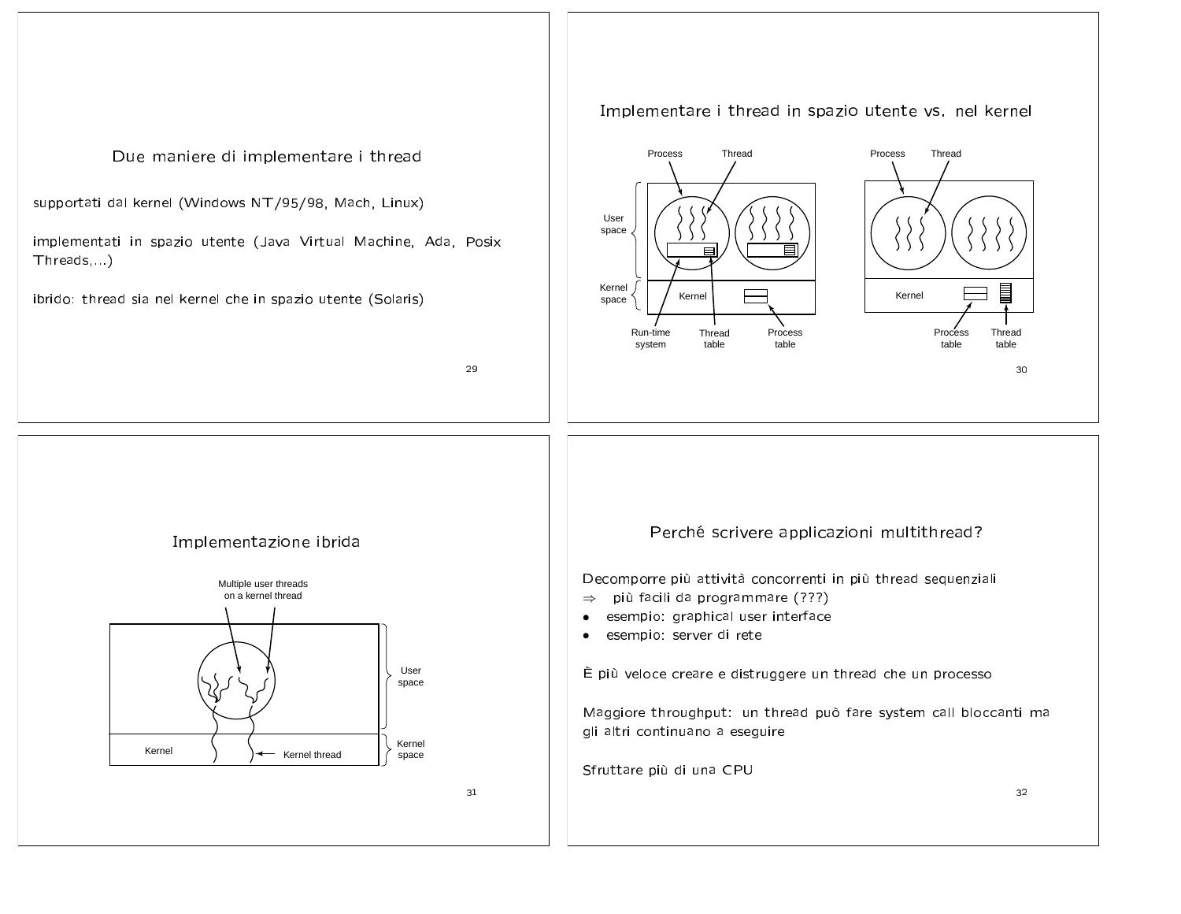## Implementare i thread in spazio utente vs. nel kernel Thread Process Thread Due maniere di implementare i thread Process supportati dal kernel (Windows NT/95/98, Mach, Linux) User space implementati in spazio utente (Java Virtual Machine, Ada, Posix  $\equiv$ Threads,...) Kernel E Kernel Kernel ibrido: thread sia nel kernel che in spazio utente (Solaris) space Process Process Thread Run-time Thread system table table table table 29 30 Perché scrivere applicazioni multithread? Implementazione ibrida Decomporre più attività concorrenti in più thread sequenziali Multiple user threads  $\Rightarrow$  più facili da programmare (???) on a kernel thread • esempio: graphical user interface · esempio: server di rete User È più veloce creare e distruggere un thread che un processo space Maggiore throughput: un thread può fare system call bloccanti ma gli altri continuano a eseguire Kernel Kernel space Kernel thread Sfruttare più di una CPU 31 32